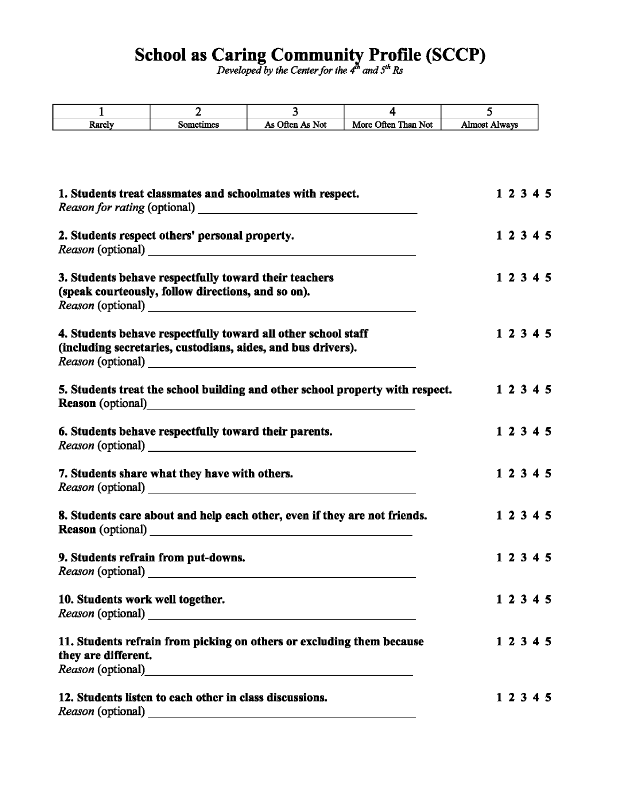## School as Caring Community Profile (SCCP)

*Developed by the Center for the 4<sup>th</sup> and 5<sup>th</sup> Rs* 

| $\mathbf{1}$                                   | $\overline{2}$                                                                                                                | $\overline{3}$  | 4                                                                             | 5                    |
|------------------------------------------------|-------------------------------------------------------------------------------------------------------------------------------|-----------------|-------------------------------------------------------------------------------|----------------------|
| Rarely                                         | Sometimes                                                                                                                     | As Often As Not | More Often Than Not                                                           | <b>Almost Always</b> |
|                                                | 1. Students treat classmates and schoolmates with respect.                                                                    |                 |                                                                               | 1 2 3 4 5            |
| 2. Students respect others' personal property. | 1 2 3 4 5                                                                                                                     |                 |                                                                               |                      |
|                                                | 3. Students behave respectfully toward their teachers<br>(speak courteously, follow directions, and so on).                   |                 |                                                                               | 1 2 3 4 5            |
|                                                | 4. Students behave respectfully toward all other school staff<br>(including secretaries, custodians, aides, and bus drivers). |                 |                                                                               | 1 2 3 4 5            |
|                                                |                                                                                                                               |                 | 5. Students treat the school building and other school property with respect. | 1 2 3 4 5            |
|                                                | 6. Students behave respectfully toward their parents.                                                                         |                 |                                                                               | 1 2 3 4 5            |
|                                                | 7. Students share what they have with others.                                                                                 |                 |                                                                               | 1 2 3 4 5            |
|                                                | 8. Students care about and help each other, even if they are not friends.<br>Reason (optional)<br><u>Leason</u> (optional)    |                 |                                                                               | 1 2 3 4 5            |
| 9. Students refrain from put-downs.            |                                                                                                                               |                 |                                                                               | 1 2 3 4 5            |
| 10. Students work well together.               |                                                                                                                               |                 |                                                                               | 1 2 3 4 5            |
| they are different.                            | 11. Students refrain from picking on others or excluding them because                                                         |                 |                                                                               | 1 2 3 4 5            |
|                                                | 12. Students listen to each other in class discussions.                                                                       |                 |                                                                               | 1 2 3 4 5            |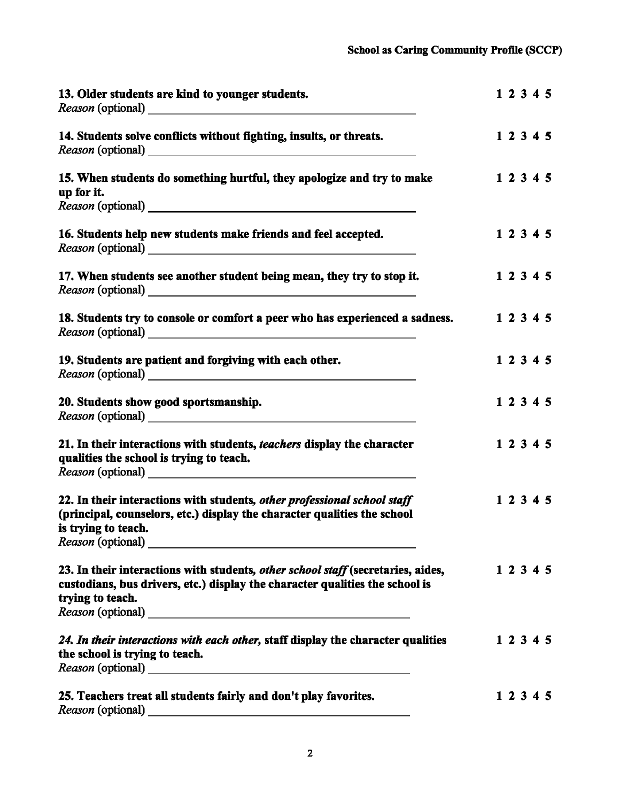| 13. Older students are kind to younger students.                                                                                                                                                 | 1 2 3 4 5 |  |
|--------------------------------------------------------------------------------------------------------------------------------------------------------------------------------------------------|-----------|--|
| 14. Students solve conflicts without fighting, insults, or threats.                                                                                                                              | 1 2 3 4 5 |  |
| 15. When students do something hurtful, they apologize and try to make<br>up for it.                                                                                                             | 1 2 3 4 5 |  |
| 16. Students help new students make friends and feel accepted.                                                                                                                                   | 1 2 3 4 5 |  |
| 17. When students see another student being mean, they try to stop it.                                                                                                                           | 1 2 3 4 5 |  |
| 18. Students try to console or comfort a peer who has experienced a sadness.                                                                                                                     | 1 2 3 4 5 |  |
| 19. Students are patient and forgiving with each other.                                                                                                                                          | 1 2 3 4 5 |  |
| 20. Students show good sportsmanship.                                                                                                                                                            | 1 2 3 4 5 |  |
| 21. In their interactions with students, <i>teachers</i> display the character<br>qualities the school is trying to teach.                                                                       | 1 2 3 4 5 |  |
| 22. In their interactions with students, other professional school staff<br>(principal, counselors, etc.) display the character qualities the school<br>is trying to teach.<br>Reason (optional) | 1 2 3 4 5 |  |
| 23. In their interactions with students, other school staff (secretaries, aides,<br>custodians, bus drivers, etc.) display the character qualities the school is<br>trying to teach.             | 1 2 3 4 5 |  |
| 24. In their interactions with each other, staff display the character qualities<br>the school is trying to teach.                                                                               | 1 2 3 4 5 |  |
| 25. Teachers treat all students fairly and don't play favorites.                                                                                                                                 | 1 2 3 4 5 |  |